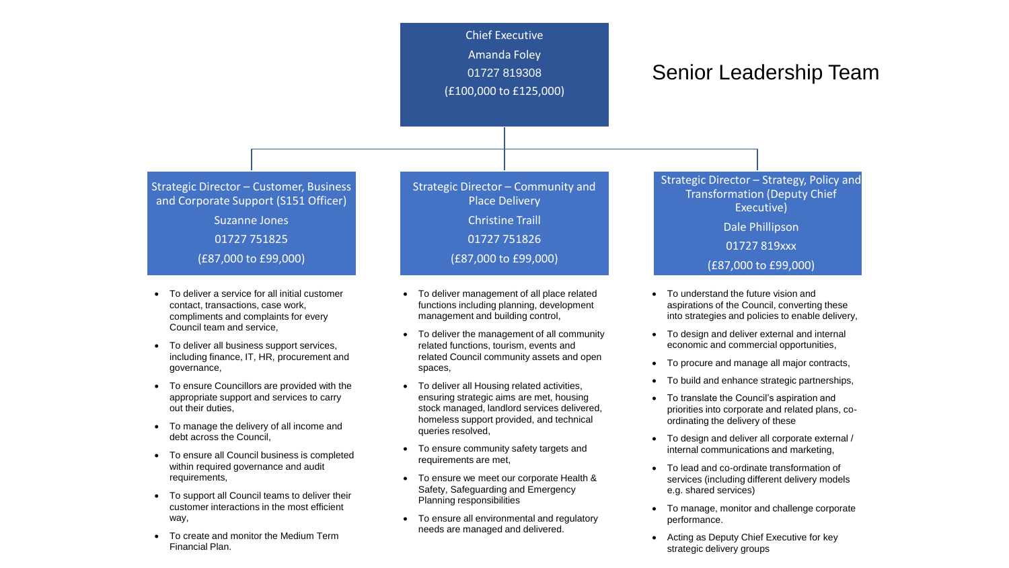

- To deliver a service for all initial customer contact, transactions, case work, compliments and complaints for every Council team and service,
- To deliver all business support services, including finance, IT, HR, procurement and governance,
- To ensure Councillors are provided with the appropriate support and services to carry out their duties,
- To manage the delivery of all income and debt across the Council,
- To ensure all Council business is completed within required governance and audit requirements,
- To support all Council teams to deliver their customer interactions in the most efficient way,
- To create and monitor the Medium Term Financial Plan.
- To deliver management of all place related functions including planning, development management and building control,
- To deliver the management of all community related functions, tourism, events and related Council community assets and open spaces,
- To deliver all Housing related activities, ensuring strategic aims are met, housing stock managed, landlord services delivered, homeless support provided, and technical queries resolved,
- To ensure community safety targets and requirements are met,
- To ensure we meet our corporate Health & Safety, Safeguarding and Emergency Planning responsibilities
- To ensure all environmental and regulatory needs are managed and delivered.
- To understand the future vision and aspirations of the Council, converting these into strategies and policies to enable delivery,
- To design and deliver external and internal economic and commercial opportunities,
- To procure and manage all major contracts,
- To build and enhance strategic partnerships,
- To translate the Council's aspiration and priorities into corporate and related plans, coordinating the delivery of these
- To design and deliver all corporate external / internal communications and marketing,
- To lead and co-ordinate transformation of services (including different delivery models e.g. shared services)
- To manage, monitor and challenge corporate performance.
- Acting as Deputy Chief Executive for key strategic delivery groups